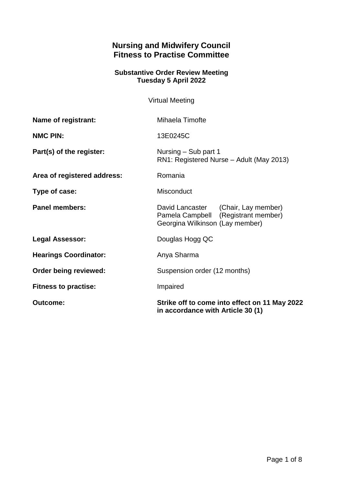# **Nursing and Midwifery Council Fitness to Practise Committee**

#### **Substantive Order Review Meeting Tuesday 5 April 2022**

Virtual Meeting

| <b>Outcome:</b>              | Strike off to come into effect on 11 May 2022<br>in accordance with Article 30 (1)                            |
|------------------------------|---------------------------------------------------------------------------------------------------------------|
| <b>Fitness to practise:</b>  | Impaired                                                                                                      |
| <b>Order being reviewed:</b> | Suspension order (12 months)                                                                                  |
| <b>Hearings Coordinator:</b> | Anya Sharma                                                                                                   |
| <b>Legal Assessor:</b>       | Douglas Hogg QC                                                                                               |
| <b>Panel members:</b>        | David Lancaster (Chair, Lay member)<br>Pamela Campbell (Registrant member)<br>Georgina Wilkinson (Lay member) |
| Type of case:                | Misconduct                                                                                                    |
| Area of registered address:  | Romania                                                                                                       |
| Part(s) of the register:     | Nursing – Sub part 1<br>RN1: Registered Nurse - Adult (May 2013)                                              |
| <b>NMC PIN:</b>              | 13E0245C                                                                                                      |
| Name of registrant:          | Mihaela Timofte                                                                                               |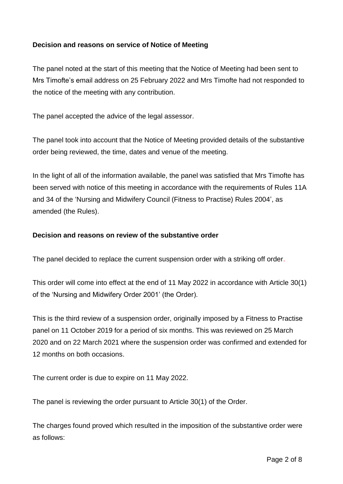## **Decision and reasons on service of Notice of Meeting**

The panel noted at the start of this meeting that the Notice of Meeting had been sent to Mrs Timofte's email address on 25 February 2022 and Mrs Timofte had not responded to the notice of the meeting with any contribution.

The panel accepted the advice of the legal assessor.

The panel took into account that the Notice of Meeting provided details of the substantive order being reviewed, the time, dates and venue of the meeting.

In the light of all of the information available, the panel was satisfied that Mrs Timofte has been served with notice of this meeting in accordance with the requirements of Rules 11A and 34 of the 'Nursing and Midwifery Council (Fitness to Practise) Rules 2004', as amended (the Rules).

#### **Decision and reasons on review of the substantive order**

The panel decided to replace the current suspension order with a striking off order.

This order will come into effect at the end of 11 May 2022 in accordance with Article 30(1) of the 'Nursing and Midwifery Order 2001' (the Order).

This is the third review of a suspension order, originally imposed by a Fitness to Practise panel on 11 October 2019 for a period of six months. This was reviewed on 25 March 2020 and on 22 March 2021 where the suspension order was confirmed and extended for 12 months on both occasions.

The current order is due to expire on 11 May 2022.

The panel is reviewing the order pursuant to Article 30(1) of the Order.

The charges found proved which resulted in the imposition of the substantive order were as follows: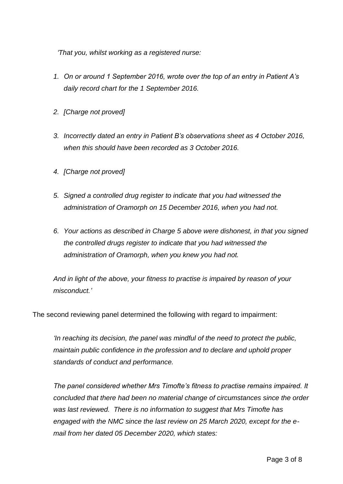*'That you, whilst working as a registered nurse:*

- *1. On or around 1 September 2016, wrote over the top of an entry in Patient A's daily record chart for the 1 September 2016.*
- *2. [Charge not proved]*
- *3. Incorrectly dated an entry in Patient B's observations sheet as 4 October 2016, when this should have been recorded as 3 October 2016.*
- *4. [Charge not proved]*
- *5. Signed a controlled drug register to indicate that you had witnessed the administration of Oramorph on 15 December 2016, when you had not.*
- *6. Your actions as described in Charge 5 above were dishonest, in that you signed the controlled drugs register to indicate that you had witnessed the administration of Oramorph, when you knew you had not.*

*And in light of the above, your fitness to practise is impaired by reason of your misconduct.'*

The second reviewing panel determined the following with regard to impairment:

*'In reaching its decision, the panel was mindful of the need to protect the public, maintain public confidence in the profession and to declare and uphold proper standards of conduct and performance.*

*The panel considered whether Mrs Timofte's fitness to practise remains impaired. It concluded that there had been no material change of circumstances since the order was last reviewed. There is no information to suggest that Mrs Timofte has engaged with the NMC since the last review on 25 March 2020, except for the email from her dated 05 December 2020, which states:*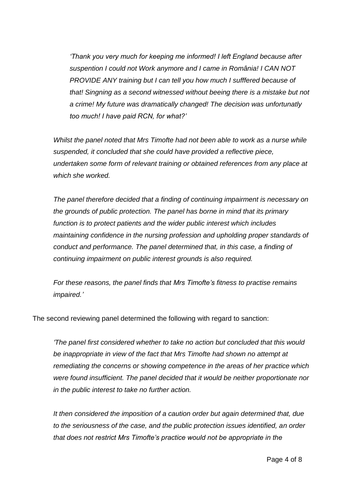*'Thank you very much for keeping me informed! I left England because after suspention I could not Work anymore and I came in România! I CAN NOT PROVIDE ANY training but I can tell you how much I sufffered because of that! Singning as a second witnessed without beeing there is a mistake but not a crime! My future was dramatically changed! The decision was unfortunatly too much! I have paid RCN, for what?'*

*Whilst the panel noted that Mrs Timofte had not been able to work as a nurse while suspended, it concluded that she could have provided a reflective piece, undertaken some form of relevant training or obtained references from any place at which she worked.*

*The panel therefore decided that a finding of continuing impairment is necessary on the grounds of public protection. The panel has borne in mind that its primary function is to protect patients and the wider public interest which includes maintaining confidence in the nursing profession and upholding proper standards of conduct and performance. The panel determined that, in this case, a finding of continuing impairment on public interest grounds is also required.*

*For these reasons, the panel finds that Mrs Timofte's fitness to practise remains impaired.'*

The second reviewing panel determined the following with regard to sanction:

*'The panel first considered whether to take no action but concluded that this would be inappropriate in view of the fact that Mrs Timofte had shown no attempt at remediating the concerns or showing competence in the areas of her practice which were found insufficient. The panel decided that it would be neither proportionate nor in the public interest to take no further action.* 

*It then considered the imposition of a caution order but again determined that, due to the seriousness of the case, and the public protection issues identified, an order that does not restrict Mrs Timofte's practice would not be appropriate in the*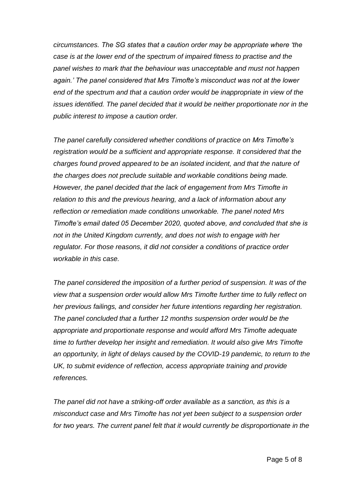*circumstances. The SG states that a caution order may be appropriate where 'the case is at the lower end of the spectrum of impaired fitness to practise and the panel wishes to mark that the behaviour was unacceptable and must not happen again.' The panel considered that Mrs Timofte's misconduct was not at the lower end of the spectrum and that a caution order would be inappropriate in view of the issues identified. The panel decided that it would be neither proportionate nor in the public interest to impose a caution order.*

*The panel carefully considered whether conditions of practice on Mrs Timofte's registration would be a sufficient and appropriate response. It considered that the charges found proved appeared to be an isolated incident, and that the nature of the charges does not preclude suitable and workable conditions being made. However, the panel decided that the lack of engagement from Mrs Timofte in relation to this and the previous hearing, and a lack of information about any reflection or remediation made conditions unworkable. The panel noted Mrs Timofte's email dated 05 December 2020, quoted above, and concluded that she is not in the United Kingdom currently, and does not wish to engage with her regulator. For those reasons, it did not consider a conditions of practice order workable in this case.*

*The panel considered the imposition of a further period of suspension. It was of the view that a suspension order would allow Mrs Timofte further time to fully reflect on her previous failings, and consider her future intentions regarding her registration. The panel concluded that a further 12 months suspension order would be the appropriate and proportionate response and would afford Mrs Timofte adequate time to further develop her insight and remediation. It would also give Mrs Timofte an opportunity, in light of delays caused by the COVID-19 pandemic, to return to the UK, to submit evidence of reflection, access appropriate training and provide references.*

*The panel did not have a striking-off order available as a sanction, as this is a misconduct case and Mrs Timofte has not yet been subject to a suspension order for two years. The current panel felt that it would currently be disproportionate in the*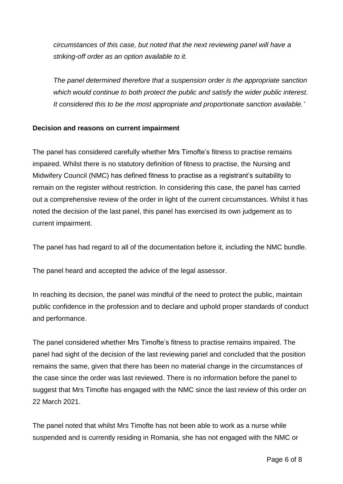*circumstances of this case, but noted that the next reviewing panel will have a striking-off order as an option available to it.*

*The panel determined therefore that a suspension order is the appropriate sanction which would continue to both protect the public and satisfy the wider public interest. It considered this to be the most appropriate and proportionate sanction available.'*

## **Decision and reasons on current impairment**

The panel has considered carefully whether Mrs Timofte's fitness to practise remains impaired. Whilst there is no statutory definition of fitness to practise, the Nursing and Midwifery Council (NMC) has defined fitness to practise as a registrant's suitability to remain on the register without restriction. In considering this case, the panel has carried out a comprehensive review of the order in light of the current circumstances. Whilst it has noted the decision of the last panel, this panel has exercised its own judgement as to current impairment.

The panel has had regard to all of the documentation before it, including the NMC bundle.

The panel heard and accepted the advice of the legal assessor.

In reaching its decision, the panel was mindful of the need to protect the public, maintain public confidence in the profession and to declare and uphold proper standards of conduct and performance.

The panel considered whether Mrs Timofte's fitness to practise remains impaired. The panel had sight of the decision of the last reviewing panel and concluded that the position remains the same, given that there has been no material change in the circumstances of the case since the order was last reviewed. There is no information before the panel to suggest that Mrs Timofte has engaged with the NMC since the last review of this order on 22 March 2021.

The panel noted that whilst Mrs Timofte has not been able to work as a nurse while suspended and is currently residing in Romania, she has not engaged with the NMC or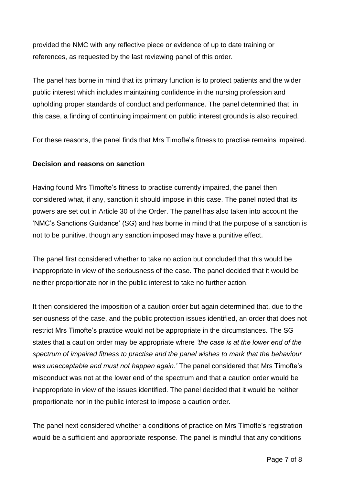provided the NMC with any reflective piece or evidence of up to date training or references, as requested by the last reviewing panel of this order.

The panel has borne in mind that its primary function is to protect patients and the wider public interest which includes maintaining confidence in the nursing profession and upholding proper standards of conduct and performance. The panel determined that, in this case, a finding of continuing impairment on public interest grounds is also required.

For these reasons, the panel finds that Mrs Timofte's fitness to practise remains impaired.

## **Decision and reasons on sanction**

Having found Mrs Timofte's fitness to practise currently impaired, the panel then considered what, if any, sanction it should impose in this case. The panel noted that its powers are set out in Article 30 of the Order. The panel has also taken into account the 'NMC's Sanctions Guidance' (SG) and has borne in mind that the purpose of a sanction is not to be punitive, though any sanction imposed may have a punitive effect.

The panel first considered whether to take no action but concluded that this would be inappropriate in view of the seriousness of the case. The panel decided that it would be neither proportionate nor in the public interest to take no further action.

It then considered the imposition of a caution order but again determined that, due to the seriousness of the case, and the public protection issues identified, an order that does not restrict Mrs Timofte's practice would not be appropriate in the circumstances. The SG states that a caution order may be appropriate where *'the case is at the lower end of the spectrum of impaired fitness to practise and the panel wishes to mark that the behaviour was unacceptable and must not happen again.'* The panel considered that Mrs Timofte's misconduct was not at the lower end of the spectrum and that a caution order would be inappropriate in view of the issues identified. The panel decided that it would be neither proportionate nor in the public interest to impose a caution order.

The panel next considered whether a conditions of practice on Mrs Timofte's registration would be a sufficient and appropriate response. The panel is mindful that any conditions